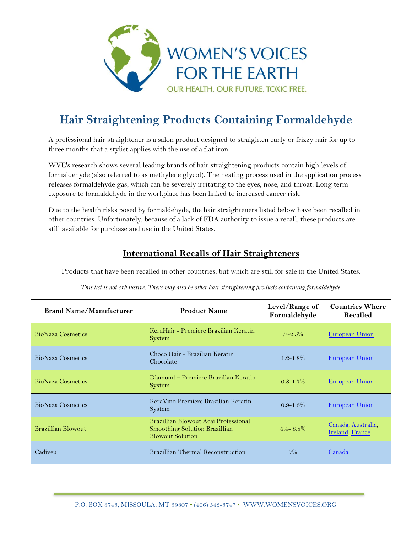

## **Hair Straightening Products Containing Formaldehyde**

A professional hair straightener is a salon product designed to straighten curly or frizzy hair for up to three months that a stylist applies with the use of a flat iron.

WVE's research shows several leading brands of hair straightening products contain high levels of formaldehyde (also referred to as methylene glycol). The heating process used in the application process releases formaldehyde gas, which can be severely irritating to the eyes, nose, and throat. Long term exposure to formaldehyde in the workplace has been linked to increased cancer risk.

Due to the health risks posed by formaldehyde, the hair straighteners listed below have been recalled in other countries. Unfortunately, because of a lack of FDA authority to issue a recall, these products are still available for purchase and use in the United States.

## **International Recalls of Hair Straighteners**

Products that have been recalled in other countries, but which are still for sale in the United States.

| <b>Brand Name/Manufacturer</b> | <b>Product Name</b>                                                                              | Level/Range of<br>Formaldehyde | <b>Countries Where</b><br>Recalled    |
|--------------------------------|--------------------------------------------------------------------------------------------------|--------------------------------|---------------------------------------|
| <b>BioNaza Cosmetics</b>       | KeraHair - Premiere Brazilian Keratin<br><b>System</b>                                           | $.7 - 2.5\%$                   | <b>European Union</b>                 |
| <b>BioNaza Cosmetics</b>       | Choco Hair - Brazilian Keratin<br>Chocolate                                                      | $1.2 - 1.8\%$                  | <b>European Union</b>                 |
| <b>BioNaza Cosmetics</b>       | Diamond - Premiere Brazilian Keratin<br>System                                                   | $0.8 - 1.7\%$                  | <b>European Union</b>                 |
| <b>BioNaza Cosmetics</b>       | KeraVino Premiere Brazilian Keratin<br>System                                                    | $0.9 - 1.6\%$                  | European Union                        |
| <b>Brazillian Blowout</b>      | Brazillian Blowout Acai Professional<br>Smoothing Solution Brazillian<br><b>Blowout Solution</b> | $6.4 - 8.8\%$                  | Canada, Australia,<br>Ireland, France |
| Cadiveu                        | <b>Brazillian Thermal Reconstruction</b>                                                         | 7%                             | Canada                                |

*This list is not exhaustive. There may also be other hair straightening products containing formaldehyde.*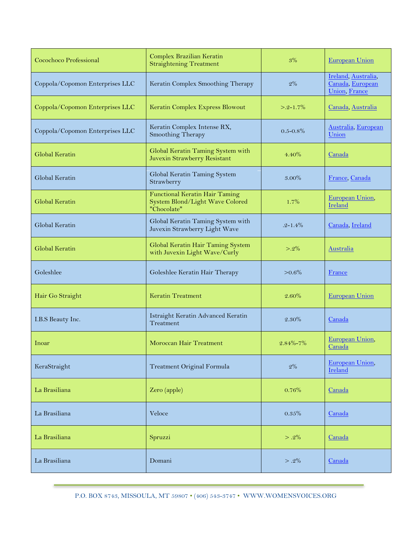| Cocochoco Professional          | Complex Brazilian Keratin<br><b>Straightening Treatment</b>                             | 3%             | <b>European Union</b>                                            |
|---------------------------------|-----------------------------------------------------------------------------------------|----------------|------------------------------------------------------------------|
| Coppola/Copomon Enterprises LLC | Keratin Complex Smoothing Therapy                                                       | 2%             | Ireland, Australia,<br>Canada, European<br><b>Union</b> , France |
| Coppola/Copomon Enterprises LLC | Keratin Complex Express Blowout                                                         | $> 2 - 1.7\%$  | Canada, Australia                                                |
| Coppola/Copomon Enterprises LLC | Keratin Complex Intense RX,<br>Smoothing Therapy                                        | $0.5 - 0.8\%$  | Australia, European<br>Union                                     |
| Global Keratin                  | Global Keratin Taming System with<br>Juvexin Strawberry Resistant                       | $4.40\%$       | Canada                                                           |
| Global Keratin                  | Global Keratin Taming System<br>Strawberry                                              | 3.00%          | France, Canada                                                   |
| Global Keratin                  | <b>Functional Keratin Hair Taming</b><br>System Blond/Light Wave Colored<br>"Chocolate" | 1.7%           | European Union,<br>Ireland                                       |
| Global Keratin                  | Global Keratin Taming System with<br>Juvexin Strawberry Light Wave                      | $.2 - 1.4\%$   | Canada, Ireland                                                  |
| Global Keratin                  | Global Keratin Hair Taming System<br>with Juvexin Light Wave/Curly                      | $> 2\%$        | Australia                                                        |
| Goleshlee                       | Goleshlee Keratin Hair Therapy                                                          | $>0.6\%$       | France                                                           |
| Hair Go Straight                | <b>Keratin Treatment</b>                                                                | $2.60\%$       | <b>European Union</b>                                            |
| I.B.S Beauty Inc.               | Istraight Keratin Advanced Keratin<br>Treatment                                         | 2.30%          | Canada                                                           |
|                                 |                                                                                         |                |                                                                  |
| Inoar                           | Moroccan Hair Treatment                                                                 | $2.84\% - 7\%$ | European Union,<br>Canada                                        |
| KeraStraight                    | Treatment Original Formula                                                              | $2\%$          | European Union,<br>Ireland                                       |
| La Brasiliana                   | Zero (apple)                                                                            | 0.76%          | Canada                                                           |
| La Brasiliana                   | Veloce                                                                                  | 0.35%          | Canada                                                           |
| La Brasiliana                   | Spruzzi                                                                                 | $> .2\%$       | Canada                                                           |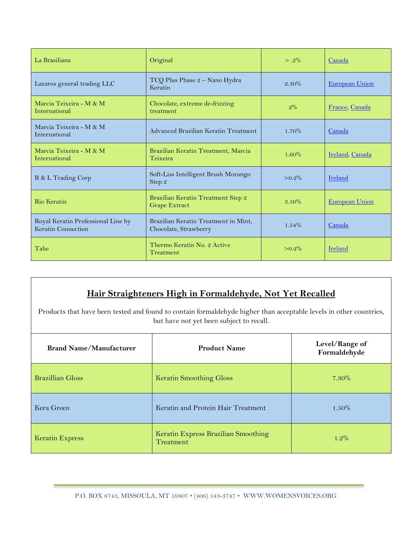| La Brasiliana                                            | Original                                                      | $> .2\%$  | Canada                |
|----------------------------------------------------------|---------------------------------------------------------------|-----------|-----------------------|
| Lazaros general trading LLC                              | TCQ Plus Phase 2 - Nano Hydra<br>Keratin                      | $2.30\%$  | <b>European Union</b> |
| Marcia Teixeira - M & M<br>International                 | Chocolate, extreme de-frizzing<br>treatment                   | $2\%$     | France, Canada        |
| Marcia Teixeira - M & M<br>International                 | Advanced Brazilian Keratin Treatment                          | $1.70\%$  | Canada                |
| Marcia Teixeira - M & M<br>International                 | Brazilian Keratin Treatment, Marcia<br>Teixeira               | $1.60\%$  | Ireland, Canada       |
| R & L Trading Corp                                       | Soft-Liss Intelligent Brush Morango<br>Step 2                 | $> 0.2\%$ | Ireland               |
| Rio Keratin                                              | Brazilian Keratin Treatment Step 2<br>Grape Extract           | $3.50\%$  | <b>European Union</b> |
| Royal Keratin Professional Line by<br>Keratin Connection | Brazilian Keratin Treatment in Mint,<br>Chocolate, Strawberry | $1.54\%$  | Canada                |
| Tahe                                                     | Thermo Keratin No. 2 Active<br>Treatment                      | $>0.2\%$  | Ireland               |

## **Hair Straighteners High in Formaldehyde, Not Yet Recalled**

Products that have been tested and found to contain formaldehyde higher than acceptable levels in other countries, but have not yet been subject to recall*.*

| <b>Brand Name/Manufacturer</b> | <b>Product Name</b>                              | Level/Range of<br>Formaldehyde |
|--------------------------------|--------------------------------------------------|--------------------------------|
| <b>Brazillian Gloss</b>        | <b>Keratin Smoothing Gloss</b>                   | $7.30\%$                       |
| Kera Green                     | Keratin and Protein Hair Treatment               | $1.50\%$                       |
| <b>Keratin Express</b>         | Keratin Express Brazilian Smoothing<br>Treatment | $1.2\%$                        |